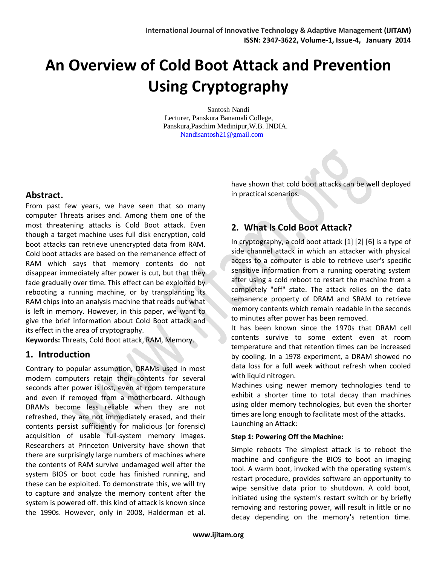# **An Overview of Cold Boot Attack and Prevention Using Cryptography**

Santosh Nandi Lecturer, Panskura Banamali College, Panskura,Paschim Medinipur,W.B. INDIA. [Nandisantosh21@gmail.com](mailto:Nandisantosh21@gmail.com)

#### **Abstract.**

From past few years, we have seen that so many computer Threats arises and. Among them one of the most threatening attacks is Cold Boot attack. Even though a target machine uses full disk encryption, cold boot attacks can retrieve unencrypted data from RAM. Cold boot attacks are based on the remanence effect of RAM which says that memory contents do not disappear immediately after power is cut, but that they fade gradually over time. This effect can be exploited by rebooting a running machine, or by transplanting its RAM chips into an analysis machine that reads out what is left in memory. However, in this paper, we want to give the brief information about Cold Boot attack and its effect in the area of cryptography.

**Keywords:** Threats, Cold Boot attack, RAM, Memory.

#### **1. Introduction**

Contrary to popular assumption, DRAMs used in most modern computers retain their contents for several seconds after power is lost, even at room temperature and even if removed from a motherboard. Although DRAMs become less reliable when they are not refreshed, they are not immediately erased, and their contents persist sufficiently for malicious (or forensic) acquisition of usable full-system memory images. Researchers at Princeton University have shown that there are surprisingly large numbers of machines where the contents of RAM survive undamaged well after the system BIOS or boot code has finished running, and these can be exploited. To demonstrate this, we will try to capture and analyze the memory content after the system is powered off. this kind of attack is known since the 1990s. However, only in 2008, Halderman et al. have shown that cold boot attacks can be well deployed in practical scenarios.

# **2. What Is Cold Boot Attack?**

In cryptography, a cold boot attack [1] [2] [6] is a type of side channel attack in which an attacker with physical access to a computer is able to retrieve user's specific sensitive information from a running operating system after using a cold reboot to restart the machine from a completely "off" state. The attack relies on the data remanence property of DRAM and SRAM to retrieve memory contents which remain readable in the seconds to minutes after power has been removed.

It has been known since the 1970s that DRAM cell contents survive to some extent even at room temperature and that retention times can be increased by cooling. In a 1978 experiment, a DRAM showed no data loss for a full week without refresh when cooled with liquid nitrogen.

Machines using newer memory technologies tend to exhibit a shorter time to total decay than machines using older memory technologies, but even the shorter times are long enough to facilitate most of the attacks. Launching an Attack:

#### **Step 1: Powering Off the Machine:**

Simple reboots The simplest attack is to reboot the machine and configure the BIOS to boot an imaging tool. A warm boot, invoked with the operating system's restart procedure, provides software an opportunity to wipe sensitive data prior to shutdown. A cold boot, initiated using the system's restart switch or by briefly removing and restoring power, will result in little or no decay depending on the memory's retention time.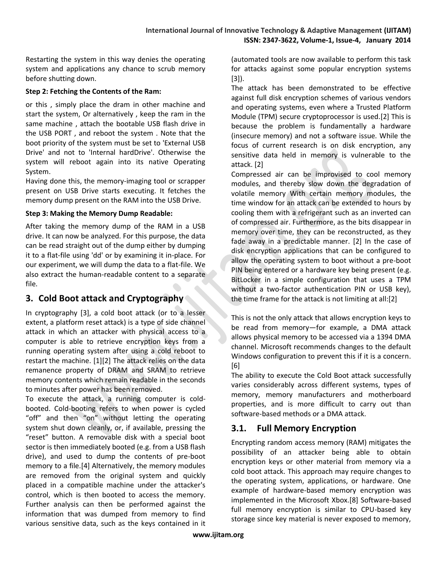Restarting the system in this way denies the operating system and applications any chance to scrub memory before shutting down.

#### **Step 2: Fetching the Contents of the Ram:**

or this , simply place the dram in other machine and start the system, Or alternatively , keep the ram in the same machine , attach the bootable USB flash drive in the USB PORT , and reboot the system . Note that the boot priority of the system must be set to 'External USB Drive' and not to 'Internal hardDrive'. Otherwise the system will reboot again into its native Operating System.

Having done this, the memory-imaging tool or scrapper present on USB Drive starts executing. It fetches the memory dump present on the RAM into the USB Drive.

#### **Step 3: Making the Memory Dump Readable:**

After taking the memory dump of the RAM in a USB drive. It can now be analyzed. For this purpose, the data can be read straight out of the dump either by dumping it to a flat-file using 'dd' or by examining it in-place. For our experiment, we will dump the data to a flat-file. We also extract the human-readable content to a separate file.

# **3. Cold Boot attack and Cryptography**

In cryptography [3], a cold boot attack (or to a lesser extent, a platform reset attack) is a type of side channel attack in which an attacker with physical access to a computer is able to retrieve encryption keys from a running operating system after using a cold reboot to restart the machine. [1][2] The attack relies on the data remanence property of DRAM and SRAM to retrieve memory contents which remain readable in the seconds to minutes after power has been removed.

To execute the attack, a running computer is coldbooted. Cold-booting refers to when power is cycled "off" and then "on" without letting the operating system shut down cleanly, or, if available, pressing the "reset" button. A removable disk with a special boot sector is then immediately booted (e.g. from a USB flash drive), and used to dump the contents of pre-boot memory to a file.[4] Alternatively, the memory modules are removed from the original system and quickly placed in a compatible machine under the attacker's control, which is then booted to access the memory. Further analysis can then be performed against the information that was dumped from memory to find various sensitive data, such as the keys contained in it

(automated tools are now available to perform this task for attacks against some popular encryption systems [3]).

The attack has been demonstrated to be effective against full disk encryption schemes of various vendors and operating systems, even where a Trusted Platform Module (TPM) secure cryptoprocessor is used.[2] This is because the problem is fundamentally a hardware (insecure memory) and not a software issue. While the focus of current research is on disk encryption, any sensitive data held in memory is vulnerable to the attack. [2]

Compressed air can be improvised to cool memory modules, and thereby slow down the degradation of volatile memory With certain memory modules, the time window for an attack can be extended to hours by cooling them with a refrigerant such as an inverted can of compressed air. Furthermore, as the bits disappear in memory over time, they can be reconstructed, as they fade away in a predictable manner. [2] In the case of disk encryption applications that can be configured to allow the operating system to boot without a pre-boot PIN being entered or a hardware key being present (e.g. BitLocker in a simple configuration that uses a TPM without a two-factor authentication PIN or USB key), the time frame for the attack is not limiting at all:[2]

This is not the only attack that allows encryption keys to be read from memory—for example, a DMA attack allows physical memory to be accessed via a 1394 DMA channel. Microsoft recommends changes to the default Windows configuration to prevent this if it is a concern. [6]

The ability to execute the Cold Boot attack successfully varies considerably across different systems, types of memory, memory manufacturers and motherboard properties, and is more difficult to carry out than software-based methods or a DMA attack.

# **3.1. Full Memory Encryption**

Encrypting random access memory (RAM) mitigates the possibility of an attacker being able to obtain encryption keys or other material from memory via a cold boot attack. This approach may require changes to the operating system, applications, or hardware. One example of hardware-based memory encryption was implemented in the Microsoft Xbox.[8] Software-based full memory encryption is similar to CPU-based key storage since key material is never exposed to memory,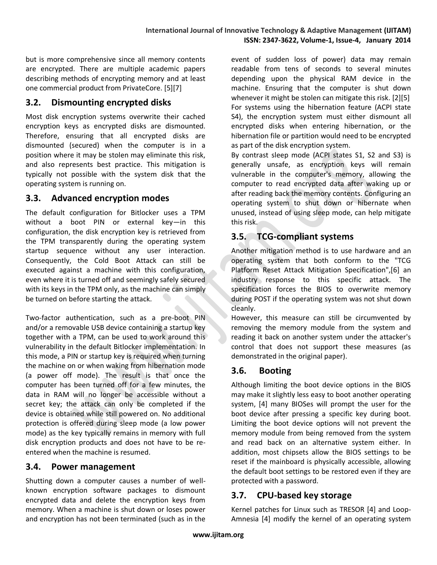but is more comprehensive since all memory contents are encrypted. There are multiple academic papers describing methods of encrypting memory and at least one commercial product from PrivateCore. [5][7]

## **3.2. Dismounting encrypted disks**

Most disk encryption systems overwrite their cached encryption keys as encrypted disks are dismounted. Therefore, ensuring that all encrypted disks are dismounted (secured) when the computer is in a position where it may be stolen may eliminate this risk, and also represents best practice. This mitigation is typically not possible with the system disk that the operating system is running on.

## **3.3. Advanced encryption modes**

The default configuration for Bitlocker uses a TPM without a boot PIN or external key—in this configuration, the disk encryption key is retrieved from the TPM transparently during the operating system startup sequence without any user interaction. Consequently, the Cold Boot Attack can still be executed against a machine with this configuration, even where it is turned off and seemingly safely secured with its keys in the TPM only, as the machine can simply be turned on before starting the attack.

Two-factor authentication, such as a pre-boot PIN and/or a removable USB device containing a startup key together with a TPM, can be used to work around this vulnerability in the default Bitlocker implementation. In this mode, a PIN or startup key is required when turning the machine on or when waking from hibernation mode (a power off mode). The result is that once the computer has been turned off for a few minutes, the data in RAM will no longer be accessible without a secret key; the attack can only be completed if the device is obtained while still powered on. No additional protection is offered during sleep mode (a low power mode) as the key typically remains in memory with full disk encryption products and does not have to be reentered when the machine is resumed.

#### **3.4. Power management**

Shutting down a computer causes a number of wellknown encryption software packages to dismount encrypted data and delete the encryption keys from memory. When a machine is shut down or loses power and encryption has not been terminated (such as in the event of sudden loss of power) data may remain readable from tens of seconds to several minutes depending upon the physical RAM device in the machine. Ensuring that the computer is shut down whenever it might be stolen can mitigate this risk. [2][5] For systems using the hibernation feature (ACPI state S4), the encryption system must either dismount all encrypted disks when entering hibernation, or the hibernation file or partition would need to be encrypted as part of the disk encryption system.

By contrast sleep mode (ACPI states S1, S2 and S3) is generally unsafe, as encryption keys will remain vulnerable in the computer's memory, allowing the computer to read encrypted data after waking up or after reading back the memory contents. Configuring an operating system to shut down or hibernate when unused, instead of using sleep mode, can help mitigate this risk.

# **3.5. TCG-compliant systems**

Another mitigation method is to use hardware and an operating system that both conform to the "TCG Platform Reset Attack Mitigation Specification",[6] an industry response to this specific attack. The specification forces the BIOS to overwrite memory during POST if the operating system was not shut down cleanly.

However, this measure can still be circumvented by removing the memory module from the system and reading it back on another system under the attacker's control that does not support these measures (as demonstrated in the original paper).

# **3.6. Booting**

Although limiting the boot device options in the BIOS may make it slightly less easy to boot another operating system, [4] many BIOSes will prompt the user for the boot device after pressing a specific key during boot. Limiting the boot device options will not prevent the memory module from being removed from the system and read back on an alternative system either. In addition, most chipsets allow the BIOS settings to be reset if the mainboard is physically accessible, allowing the default boot settings to be restored even if they are protected with a password.

# **3.7. CPU-based key storage**

Kernel patches for Linux such as TRESOR [4] and Loop-Amnesia [4] modify the kernel of an operating system